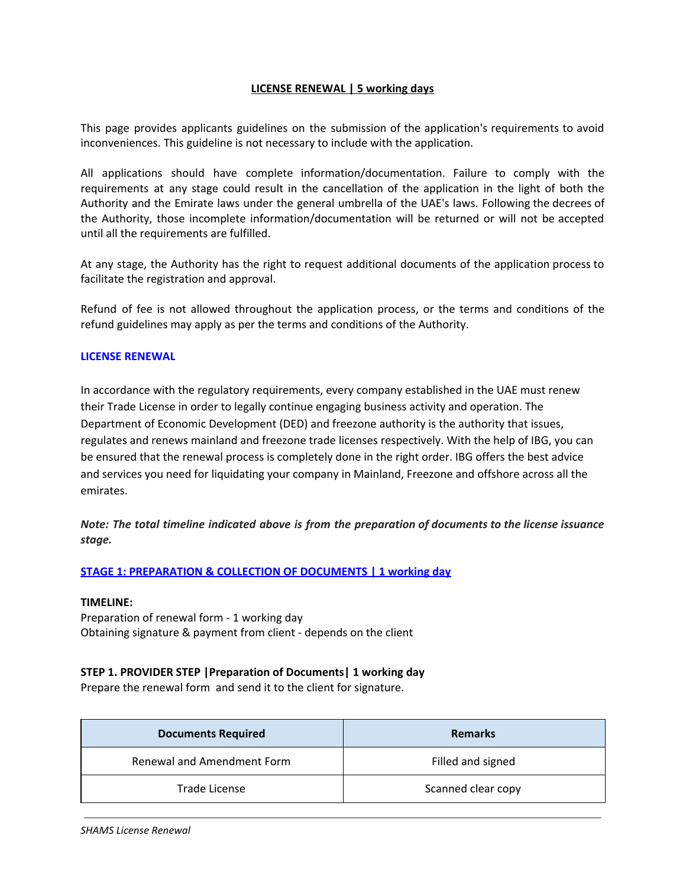# **LICENSE RENEWAL | 5 working days**

This page provides applicants guidelines on the submission of the application's requirements to avoid inconveniences. This guideline is not necessary to include with the application.

All applications should have complete information/documentation. Failure to comply with the requirements at any stage could result in the cancellation of the application in the light of both the Authority and the Emirate laws under the general umbrella of the UAE's laws. Following the decrees of the Authority, those incomplete information/documentation will be returned or will not be accepted until all the requirements are fulfilled.

At any stage, the Authority has the right to request additional documents of the application process to facilitate the registration and approval.

Refund of fee is not allowed throughout the application process, or the terms and conditions of the refund guidelines may apply as per the terms and conditions of the Authority.

#### **LICENSE RENEWAL**

In accordance with the regulatory requirements, every company established in the UAE must renew their Trade License in order to legally continue engaging business activity and operation. The Department of Economic Development (DED) and freezone authority is the authority that issues, regulates and renews mainland and freezone trade licenses respectively. With the help of IBG, you can be ensured that the renewal process is completely done in the right order. IBG offers the best advice and services you need for liquidating your company in Mainland, Freezone and offshore across all the emirates.

*Note: The total timeline indicated above is from the preparation of documents to the license issuance stage.*

## **STAGE 1: PREPARATION & COLLECTION OF DOCUMENTS | 1 working day**

#### **TIMELINE:**

Preparation of renewal form - 1 working day Obtaining signature & payment from client - depends on the client

## **STEP 1. PROVIDER STEP |Preparation of Documents| 1 working day**

Prepare the renewal form and send it to the client for signature.

| <b>Documents Required</b>  | <b>Remarks</b>     |
|----------------------------|--------------------|
| Renewal and Amendment Form | Filled and signed  |
| Trade License              | Scanned clear copy |